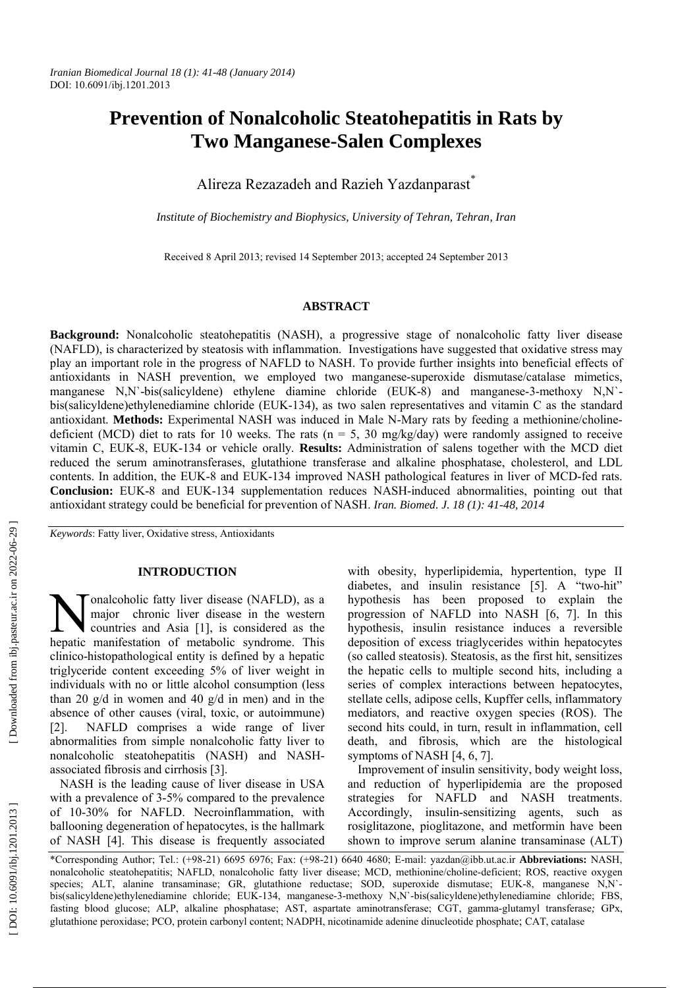# **Prevention of Nonalcoholic Steatohepatitis in Rats by Two Manganese-Salen Complexes**

Alireza Rezazadeh and Razieh Yazdanparast \*

*Institute of Biochemistry and Biophysics, University of Tehran, Tehran, Iran*

Received 8 April 2013; revised 14 September 2013; accepted 24 September 2013

## **ABSTRACT**

**Background:** Nonalcoholic steatohepatitis (NASH), a progressive stage of nonalcoholic fatty liver disease (NAFLD), is characterized by steatosis with inflammation. Investigations have suggested that oxidative stress may play an important role in the progress of NAFLD to NASH. To provide further insights into beneficial effects of antioxidants in NASH prevention, we employed two manganese-superoxide dismutase/catalase mimetics, manganese N,N`-bis(salicyldene) ethylene diamine chloride (EUK-8) and manganese-3-methoxy N,N` bis(salicyldene)ethylenediamine chloride (EUK-134), as two salen representatives and vitamin C as the standard antioxidant. **Methods:** Experimental NASH was induced in Male N-Mary rats by feeding a methionine/cholinedeficient (MCD) diet to rats for 10 weeks. The rats ( $n = 5$ , 30 mg/kg/day) were randomly assigned to receive vitamin C, EUK-8, EUK-134 or vehicle orally. **Results:** Administration of salens together with the MCD diet reduced the serum aminotransferases, glutathione transferase and alkaline phosphatase, cholesterol, and LDL contents. In addition, the EUK-8 and EUK-134 improved NASH pathological features in liver of MCD-fed rats. **Conclusion:** EUK-8 and EUK-134 supplementation reduces NASH-induced abnormalities, pointing out that antioxidant strategy could be beneficial for prevention of NASH. *Iran. Biomed. J. 18 (1): 41-48, 2014*

*Keywords*: Fatty liver, Oxidative stress, Antioxidants

## **INTRODUCTION**

onalcoholic fatty liver disease (NAFLD), as a major chronic liver disease in the western countries and Asia [1], is considered as the **hepatic manifestation** of metabolic syndrome. This hepatic manifestation of metabolic syndrome. This clinico-histopathological entity is defined by a hepatic triglyceride content exceeding 5% of liver weight in individuals with no or little alcohol consumption (less than 20 g/d in women and 40 g/d in men) and in the absence of other causes (viral, toxic, or autoimmune) [2]. NAFLD comprises a wide range of liver abnormalities from simple nonalcoholic fatty liver to nonalcoholic steatohepatitis (NASH) and NASHassociated fibrosis and cirrhosis [3].

NASH is the leading cause of liver disease in USA with a prevalence of 3-5% compared to the prevalence of 10-30% for NAFLD. Necroinflammation, with ballooning degeneration of hepatocytes, is the hallmark of NASH [4]. This disease is frequently associated

with obesity, hyperlipidemia, hypertention, type II diabetes, and insulin resistance [5]. A "two-hit" hypothesis has been proposed to explain the progression of NAFLD into NASH [6, 7]. In this hypothesis, insulin resistance induces a reversible deposition of excess triaglycerides within hepatocytes (so called steatosis). Steatosis, as the first hit, sensitizes the hepatic cells to multiple second hits, including a series of complex interactions between hepatocytes, stellate cells, adipose cells, Kupffer cells, inflammatory mediators, and reactive oxygen species (ROS). The second hits could, in turn, result in inflammation, cell death, and fibrosis, which are the histological symptoms of NASH [4, 6, 7].

Improvement of insulin sensitivity, body weight loss, and reduction of hyperlipidemia are the proposed strategies for NAFLD and NASH treatments. Accordingly, insulin-sensitizing agents, such as rosiglitazone, pioglitazone, and metformin have been shown to improve serum alanine transaminase (ALT)

<sup>\*</sup>Corresponding Author; Tel.: (+98-21) 6695 6976; Fax: (+98-21) 6640 4680; E-mail: yazdan@ibb.ut.ac.ir **Abbreviations:** NASH, nonalcoholic steatohepatitis; NAFLD, nonalcoholic fatty liver disease; MCD, methionine/choline-deficient; ROS, reactive oxygen species; ALT, alanine transaminase; GR, glutathione reductase; SOD, superoxide dismutase; EUK-8, manganese N,N` bis(salicyldene)ethylenediamine chloride; EUK-134, manganese-3-methoxy N,N`-bis(salicyldene)ethylenediamine chloride; FBS, fasting blood glucose; ALP, alkaline phosphatase; AST, aspartate aminotransferase; CGT, gamma-glutamyl transferase*;* GPx, glutathione peroxidase; PCO, protein carbonyl content; NADPH, nicotinamide adenine dinucleotide phosphate; CAT, catalase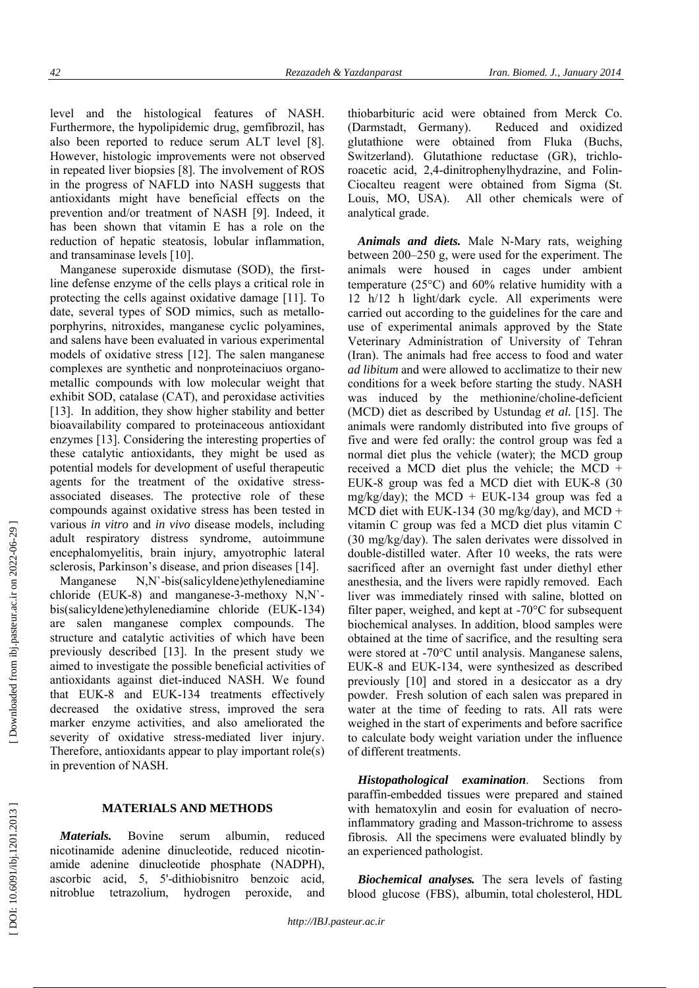level and the histological features of NASH. Furthermore, the hypolipidemic drug, gemfibrozil, has also been reported to reduce serum ALT level [8]. However, histologic improvements were not observed in repeated liver biopsies [8]. The involvement of ROS in the progress of NAFLD into NASH suggests that antioxidants might have beneficial effects on the prevention and/or treatment of NASH [9]. Indeed, it has been shown that vitamin E has a role on the reduction of hepatic steatosis, lobular inflammation, and transaminase levels [10].

Manganese superoxide dismutase (SOD), the firstline defense enzyme of the cells plays a critical role in protecting the cells against oxidative damage [11]. To date, several types of SOD mimics, such as metalloporphyrins, nitroxides, manganese cyclic polyamines, and salens have been evaluated in various experimental models of oxidative stress [12]. The salen manganese complexes are synthetic and nonproteinaciuos organometallic compounds with low molecular weight that exhibit SOD, catalase (CAT), and peroxidase activities [13]. In addition, they show higher stability and better bioavailability compared to proteinaceous antioxidant enzymes [13]. Considering the interesting properties of these catalytic antioxidants, they might be used as potential models for development of useful therapeutic agents for the treatment of the oxidative stressassociated diseases. The protective role of these compounds against oxidative stress has been tested in various *in vitro* and *in vivo* disease models, including adult respiratory distress syndrome, autoimmune encephalomyelitis, brain injury, amyotrophic lateral sclerosis, Parkinson's disease, and prion diseases [14].

Manganese N,N`-bis(salicyldene)ethylenediamine chloride (EUK-8) and manganese-3-methoxy N,N` bis(salicyldene)ethylenediamine chloride (EUK-134) are salen manganese complex compounds. The structure and catalytic activities of which have been previously described [13]. In the present study we aimed to investigate the possible beneficial activities of antioxidants against diet-induced NASH. We found that EUK-8 and EUK-134 treatments effectively decreased the oxidative stress, improved the sera marker enzyme activities, and also ameliorated the severity of oxidative stress-mediated liver injury. Therefore, antioxidants appear to play important role(s) in prevention of NASH.

#### **MATERIALS AND METHODS**

*Materials.* Bovine serum albumin, reduced nicotinamide adenine dinucleotide, reduced nicotinamide adenine dinucleotide phosphate (NADPH), ascorbic acid, 5, 5'-dithiobisnitro benzoic acid, nitroblue tetrazolium, hydrogen peroxide, and thiobarbituric acid were obtained from Merck Co. (Darmstadt, Germany). Reduced and oxidized glutathione were obtained from Fluka (Buchs, Switzerland). Glutathione reductase (GR), trichloroacetic acid, 2,4-dinitrophenylhydrazine, and Folin-Ciocalteu reagent were obtained from Sigma (St. Louis, MO, USA). All other chemicals were of analytical grade.

*Animals and diets.* Male N-Mary rats, weighing between 200–250 g, were used for the experiment. The animals were housed in cages under ambient temperature (25 C) and 60% relative humidity with a 12 h/12 h light/dark cycle. All experiments were carried out according to the guidelines for the care and use of experimental animals approved by the State Veterinary Administration of University of Tehran (Iran). The animals had free access to food and water *ad libitum* and were allowed to acclimatize to their new conditions for a week before starting the study. NASH was induced by the methionine/choline-deficient (MCD) diet as described by Ustundag *et al.* [15]. The animals were randomly distributed into five groups of five and were fed orally: the control group was fed a normal diet plus the vehicle (water); the MCD group received a MCD diet plus the vehicle; the MCD + EUK-8 group was fed a MCD diet with EUK-8 (30 mg/kg/day); the MCD + EUK-134 group was fed a MCD diet with EUK-134 (30 mg/kg/day), and MCD + vitamin C group was fed a MCD diet plus vitamin C (30 mg/kg/day). The salen derivates were dissolved in double-distilled water. After 10 weeks, the rats were sacrificed after an overnight fast under diethyl ether anesthesia, and the livers were rapidly removed. Each liver was immediately rinsed with saline, blotted on filter paper, weighed, and kept at -70°C for subsequent biochemical analyses. In addition, blood samples were obtained at the time of sacrifice, and the resulting sera were stored at -70°C until analysis. Manganese salens, EUK-8 and EUK-134, were synthesized as described previously [10] and stored in a desiccator as a dry powder. Fresh solution of each salen was prepared in water at the time of feeding to rats. All rats were weighed in the start of experiments and before sacrifice to calculate body weight variation under the influence of different treatments.

*Histopathological examination*. Sections from paraffin-embedded tissues were prepared and stained with hematoxylin and eosin for evaluation of necroinflammatory grading and Masson-trichrome to assess fibrosis. All the specimens were evaluated blindly by an experienced pathologist.

*Biochemical analyses.* The sera levels of fasting blood glucose (FBS), albumin, total cholesterol, HDL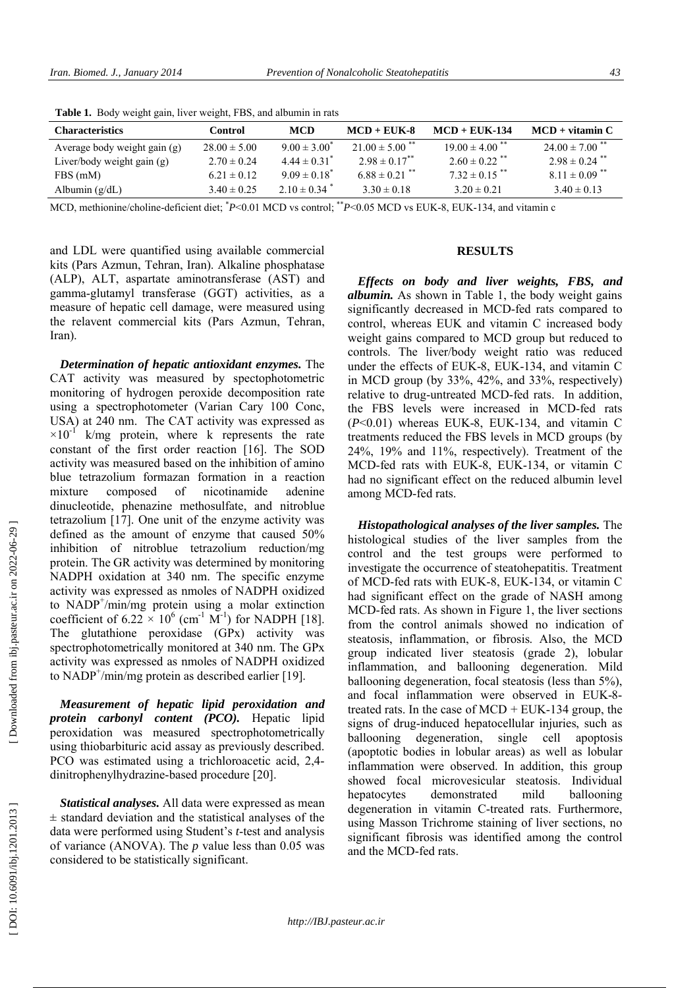| <b>Characteristics</b>       | Control          | <b>MCD</b>                   | $MCD + EIK-8$                 | $MCD + EIK-134$                | $MCD + vitamin C$              |
|------------------------------|------------------|------------------------------|-------------------------------|--------------------------------|--------------------------------|
| Average body weight gain (g) | $28.00 \pm 5.00$ | $9.00 \pm 3.00^{\circ}$      | $21.00 \pm 5.00$ **           | $19.00 \pm 4.00$ <sup>**</sup> | $24.00 \pm 7.00$ <sup>**</sup> |
| Liver/body weight gain $(g)$ | $2.70 \pm 0.24$  | $4.44 \pm 0.31$ <sup>*</sup> | $2.98 \pm 0.17$ <sup>**</sup> | $2.60 \pm 0.22$ <sup>**</sup>  | $2.98 \pm 0.24$ <sup>**</sup>  |
| FBS (mM)                     | $6.21 \pm 0.12$  | $9.09 \pm 0.18^*$            | $6.88 \pm 0.21$ **            | $7.32 \pm 0.15$ <sup>**</sup>  | $8.11 \pm 0.09$ <sup>**</sup>  |
| Albumin $(g/dL)$             | $3.40 \pm 0.25$  | $2.10 \pm 0.34$ <sup>*</sup> | $3.30 \pm 0.18$               | $3.20 \pm 0.21$                | $3.40 \pm 0.13$                |

 **Table 1.** Body weight gain, liver weight, FBS, and albumin in rats

MCD, methionine/choline-deficient diet; *\*P*<0.01 MCD vs control; \*\**P*<0.05 MCD vs EUK-8, EUK-134, and vitamin c

and LDL were quantified using available commercial kits (Pars Azmun, Tehran, Iran). Alkaline phosphatase (ALP), ALT, aspartate aminotransferase (AST) and gamma-glutamyl transferase (GGT) activities, as a measure of hepatic cell damage, were measured using the relavent commercial kits (Pars Azmun, Tehran, Iran).

*Determination of hepatic antioxidant enzymes.* The CAT activity was measured by spectophotometric monitoring of hydrogen peroxide decomposition rate using a spectrophotometer (Varian Cary 100 Conc, USA) at 240 nm. The CAT activity was expressed as  $\times 10^{-1}$  k/mg protein, where k represents the rate constant of the first order reaction [16]. The SOD activity was measured based on the inhibition of amino blue tetrazolium formazan formation in a reaction mixture composed of nicotinamide adenine dinucleotide, phenazine methosulfate, and nitroblue tetrazolium [17]. One unit of the enzyme activity was defined as the amount of enzyme that caused 50% inhibition of nitroblue tetrazolium reduction/mg protein. The GR activity was determined by monitoring NADPH oxidation at 340 nm. The specific enzyme activity was expressed as nmoles of NADPH oxidized to NADP<sup>+</sup>/min/mg protein using a molar extinction coefficient of  $6.22 \times 10^6$  (cm<sup>-1</sup> M<sup>-1</sup>) for NADPH [18]. The glutathione peroxidase (GPx) activity was spectrophotometrically monitored at 340 nm. The GPx activity was expressed as nmoles of NADPH oxidized to NADP<sup>+</sup>/min/mg protein as described earlier [19].

*Measurement of hepatic lipid peroxidation and protein carbonyl content (PCO).* Hepatic lipid peroxidation was measured spectrophotometrically using thiobarbituric acid assay as previously described. PCO was estimated using a trichloroacetic acid, 2,4 dinitrophenylhydrazine-based procedure [20].

*Statistical analyses.* All data were expressed as mean  $\pm$  standard deviation and the statistical analyses of the data were performed using Student's *t*-test and analysis of variance (ANOVA). The *p* value less than 0.05 was considered to be statistically significant.

## **RESULTS**

*Effects on body and liver weights, FBS, and albumin.* As shown in Table 1, the body weight gains significantly decreased in MCD-fed rats compared to control, whereas EUK and vitamin C increased body weight gains compared to MCD group but reduced to controls. The liver/body weight ratio was reduced under the effects of EUK-8, EUK-134, and vitamin C in MCD group (by 33%, 42%, and 33%, respectively) relative to drug-untreated MCD-fed rats. In addition, the FBS levels were increased in MCD-fed rats (*P*<0.01) whereas EUK-8, EUK-134, and vitamin C treatments reduced the FBS levels in MCD groups (by 24%, 19% and 11%, respectively). Treatment of the MCD-fed rats with EUK-8, EUK-134, or vitamin C had no significant effect on the reduced albumin level among MCD-fed rats.

*Histopathological analyses of the liver samples.* The histological studies of the liver samples from the control and the test groups were performed to investigate the occurrence of steatohepatitis. Treatment of MCD-fed rats with EUK-8, EUK-134, or vitamin C had significant effect on the grade of NASH among MCD-fed rats. As shown in Figure 1, the liver sections from the control animals showed no indication of steatosis, inflammation, or fibrosis. Also, the MCD group indicated liver steatosis (grade 2), lobular inflammation, and ballooning degeneration. Mild ballooning degeneration, focal steatosis (less than 5%), and focal inflammation were observed in EUK-8 treated rats. In the case of  $MCD$  + EUK-134 group, the signs of drug-induced hepatocellular injuries, such as ballooning degeneration, single cell apoptosis (apoptotic bodies in lobular areas) as well as lobular inflammation were observed. In addition, this group showed focal microvesicular steatosis. Individual hepatocytes demonstrated mild ballooning degeneration in vitamin C-treated rats. Furthermore, using Masson Trichrome staining of liver sections, no significant fibrosis was identified among the control and the MCD-fed rats.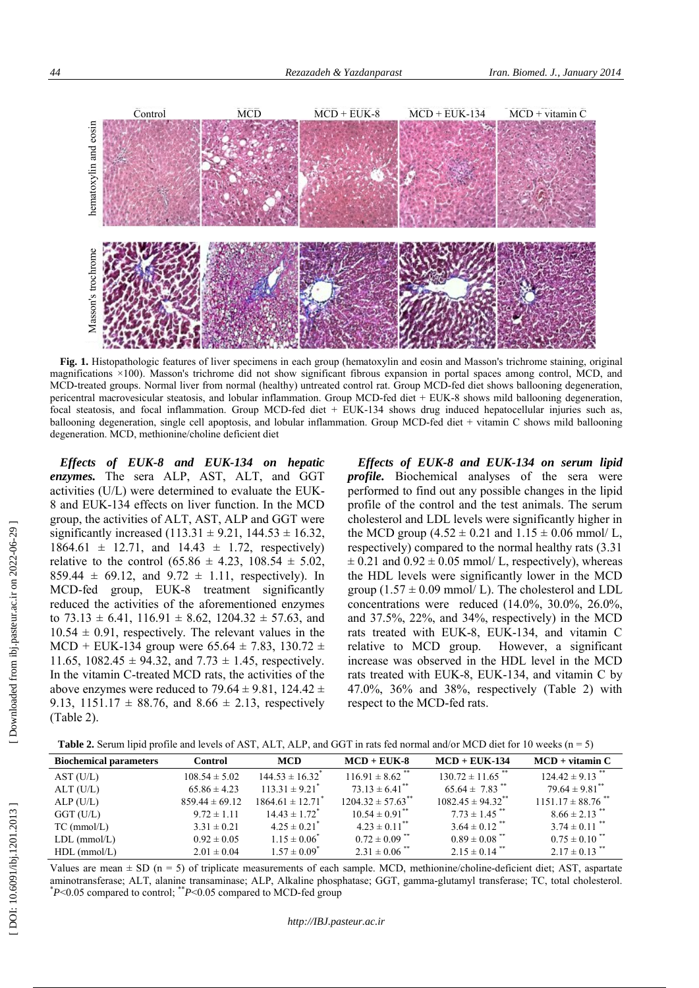

**Fig. 1.** Histopathologic features of liver specimens in each group (hematoxylin and eosin and Masson's trichrome staining, original magnifications ×100). Masson's trichrome did not show significant fibrous expansion in portal spaces among control, MCD, and MCD-treated groups. Normal liver from normal (healthy) untreated control rat. Group MCD-fed diet shows ballooning degeneration, pericentral macrovesicular steatosis, and lobular inflammation. Group MCD-fed diet + EUK-8 shows mild ballooning degeneration, focal steatosis, and focal inflammation. Group MCD-fed diet + EUK-134 shows drug induced hepatocellular injuries such as, ballooning degeneration, single cell apoptosis, and lobular inflammation. Group MCD-fed diet + vitamin C shows mild ballooning degeneration. MCD, methionine/choline deficient diet

*Effects of EUK-8 and EUK-134 on hepatic enzymes.* The sera ALP, AST, ALT, and GGT activities (U/L) were determined to evaluate the EUK-8 and EUK-134 effects on liver function. In the MCD group, the activities of ALT, AST, ALP and GGT were significantly increased  $(113.31 \pm 9.21, 144.53 \pm 16.32,$  $1864.61 \pm 12.71$ , and  $14.43 \pm 1.72$ , respectively) relative to the control  $(65.86 \pm 4.23, 108.54 \pm 5.02,$ 859.44  $\pm$  69.12, and 9.72  $\pm$  1.11, respectively). In MCD-fed group, EUK-8 treatment significantly reduced the activities of the aforementioned enzymes to  $73.13 \pm 6.41$ ,  $116.91 \pm 8.62$ ,  $1204.32 \pm 57.63$ , and  $10.54 \pm 0.91$ , respectively. The relevant values in the MCD + EUK-134 group were  $65.64 \pm 7.83$ , 130.72  $\pm$ 11.65, 1082.45  $\pm$  94.32, and 7.73  $\pm$  1.45, respectively. In the vitamin C-treated MCD rats, the activities of the above enzymes were reduced to 79.64  $\pm$  9.81, 124.42  $\pm$ 9.13, 1151.17  $\pm$  88.76, and 8.66  $\pm$  2.13, respectively (Table 2).

*Effects of EUK-8 and EUK-134 on serum lipid profile.* Biochemical analyses of the sera were performed to find out any possible changes in the lipid profile of the control and the test animals. The serum cholesterol and LDL levels were significantly higher in the MCD group  $(4.52 \pm 0.21 \text{ and } 1.15 \pm 0.06 \text{ mmol}/ \text{L}$ , respectively) compared to the normal healthy rats (3.31  $\pm$  0.21 and 0.92  $\pm$  0.05 mmol/ L, respectively), whereas the HDL levels were significantly lower in the MCD group  $(1.57 \pm 0.09 \text{ mmol}/ \text{L})$ . The cholesterol and LDL concentrations were reduced (14.0%, 30.0%, 26.0%, and 37.5%, 22%, and 34%, respectively) in the MCD rats treated with EUK-8, EUK-134, and vitamin C relative to MCD group. However, a significant increase was observed in the HDL level in the MCD rats treated with EUK-8, EUK-134, and vitamin C by 47.0%, 36% and 38%, respectively (Table 2) with respect to the MCD-fed rats.

| <b>Table 2.</b> Serum lipid profile and levels of AST, ALT, ALP, and GGT in rats fed normal and/or MCD diet for 10 weeks $(n = 5)$ |  |  |
|------------------------------------------------------------------------------------------------------------------------------------|--|--|
|------------------------------------------------------------------------------------------------------------------------------------|--|--|

| <b>Biochemical parameters</b> | Control            | <b>MCD</b>                       | $MCD + EUK-8$                     | $MCD + EUK-134$                   | $MCD + vitamin C$                 |
|-------------------------------|--------------------|----------------------------------|-----------------------------------|-----------------------------------|-----------------------------------|
| AST (U/L)                     | $108.54 \pm 5.02$  | $144.53 \pm 16.32$ <sup>*</sup>  | $116.91 \pm 8.62$ <sup>**</sup>   | $130.72 \pm 11.65$ <sup>**</sup>  | $124.42 \pm 9.13$ <sup>**</sup>   |
| ALT (U/L)                     | $65.86 \pm 4.23$   | $113.31 \pm 9.21^*$              | $73.13 \pm 6.41$ <sup>**</sup>    | $65.64 \pm 7.83$ <sup>**</sup>    | $79.64 \pm 9.81$ <sup>**</sup>    |
| ALP(U/L)                      | $859.44 \pm 69.12$ | $1864.61 \pm 12.71$ <sup>*</sup> | $1204.32 \pm 57.63$ <sup>**</sup> | $1082.45 \pm 94.32$ <sup>**</sup> | $1151.17 \pm 88.76$ <sup>**</sup> |
| $GGT$ (U/L)                   | $9.72 \pm 1.11$    | $14.43 \pm 1.72$ <sup>*</sup>    | $10.54 \pm 0.91$ <sup>**</sup>    | $7.73 \pm 1.45$ <sup>**</sup>     | $8.66 \pm 2.13$ <sup>**</sup>     |
| $TC$ (mmol/L)                 | $3.31 \pm 0.21$    | $4.25 \pm 0.21$ <sup>*</sup>     | $4.23 \pm 0.11$ <sup>**</sup>     | $3.64 \pm 0.12$ <sup>**</sup>     | $3.74 \pm 0.11$ <sup>**</sup>     |
| $LDL$ (mmol/L)                | $0.92 \pm 0.05$    | $1.15 \pm 0.06^*$                | $0.72 \pm 0.09$ <sup>**</sup>     | $0.89 \pm 0.08$ <sup>**</sup>     | $0.75 \pm 0.10$ <sup>**</sup>     |
| $HDL$ (mmol/L)                | $2.01 \pm 0.04$    | $1.57 \pm 0.09^*$                | $2.31 \pm 0.06$ <sup>**</sup>     | $2.15 \pm 0.14$ <sup>**</sup>     | $2.17 \pm 0.13$ <sup>**</sup>     |

Values are mean  $\pm$  SD (n = 5) of triplicate measurements of each sample. MCD, methionine/choline-deficient diet; AST, aspartate aminotransferase; ALT, alanine transaminase; ALP, Alkaline phosphatase; GGT, gamma-glutamyl transferase; TC, total cholesterol. \**P*<0.05 compared to control; \*\**P*<0.05 compared to MCD-fed group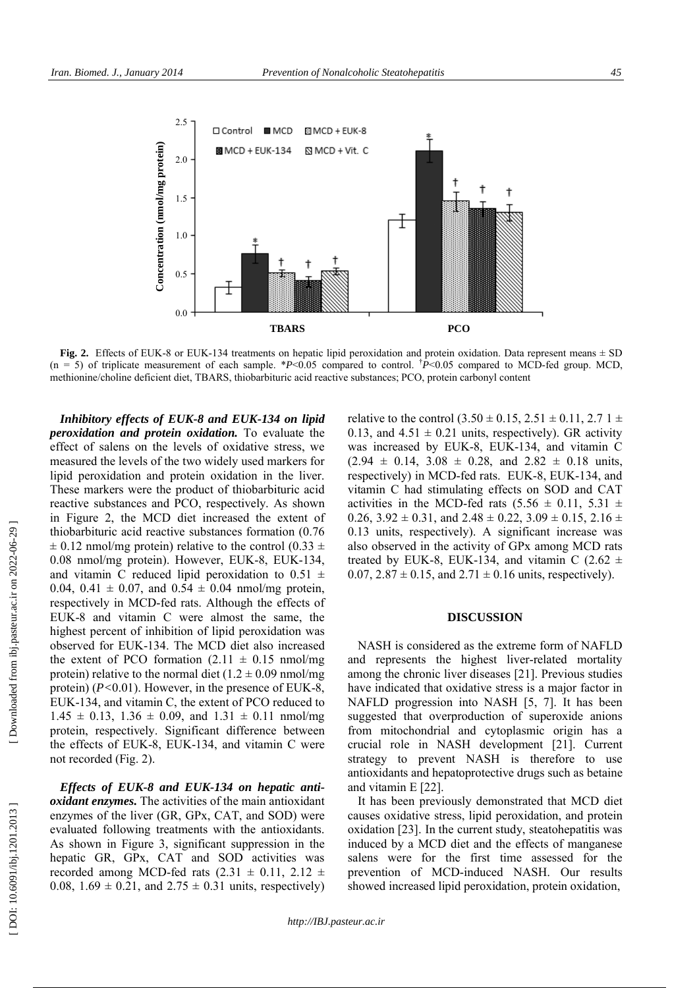

**Fig. 2.** Effects of EUK-8 or EUK-134 treatments on hepatic lipid peroxidation and protein oxidation. Data represent means ± SD  $(n = 5)$  of triplicate measurement of each sample. \**P*<0.05 compared to control. <sup>†</sup>*P*<0.05 compared to MCD-fed group. MCD, methionine/choline deficient diet, TBARS, thiobarbituric acid reactive substances; PCO, protein carbonyl content

*Inhibitory effects of EUK-8 and EUK-134 on lipid peroxidation and protein oxidation.* To evaluate the effect of salens on the levels of oxidative stress, we measured the levels of the two widely used markers for lipid peroxidation and protein oxidation in the liver. These markers were the product of thiobarbituric acid reactive substances and PCO, respectively. As shown in Figure 2, the MCD diet increased the extent of thiobarbituric acid reactive substances formation (0.76  $\pm$  0.12 nmol/mg protein) relative to the control (0.33  $\pm$ 0.08 nmol/mg protein). However, EUK-8, EUK-134, and vitamin C reduced lipid peroxidation to 0.51  $\pm$ 0.04, 0.41  $\pm$  0.07, and 0.54  $\pm$  0.04 nmol/mg protein, respectively in MCD-fed rats. Although the effects of EUK-8 and vitamin C were almost the same, the highest percent of inhibition of lipid peroxidation was observed for EUK-134. The MCD diet also increased the extent of PCO formation  $(2.11 \pm 0.15 \text{ mm})/\text{mg}$ protein) relative to the normal diet  $(1.2 \pm 0.09 \text{ nmol/mg})$ protein) (*P<*0.01). However, in the presence of EUK-8, EUK-134, and vitamin C, the extent of PCO reduced to  $1.45 \pm 0.13$ ,  $1.36 \pm 0.09$ , and  $1.31 \pm 0.11$  nmol/mg protein, respectively. Significant difference between the effects of EUK-8, EUK-134, and vitamin C were not recorded (Fig. 2).

*Effects of EUK-8 and EUK-134 on hepatic antioxidant enzymes.* The activities of the main antioxidant enzymes of the liver (GR, GPx, CAT, and SOD) were evaluated following treatments with the antioxidants. As shown in Figure 3, significant suppression in the hepatic GR, GPx, CAT and SOD activities was recorded among MCD-fed rats  $(2.31 \pm 0.11, 2.12 \pm 1.1)$ 0.08,  $1.69 \pm 0.21$ , and  $2.75 \pm 0.31$  units, respectively) relative to the control  $(3.50 \pm 0.15, 2.51 \pm 0.11, 2.71 \pm 1.0)$ 0.13, and  $4.51 \pm 0.21$  units, respectively). GR activity was increased by EUK-8, EUK-134, and vitamin C  $(2.94 \pm 0.14, 3.08 \pm 0.28, \text{ and } 2.82 \pm 0.18 \text{ units},$ respectively) in MCD-fed rats. EUK-8, EUK-134, and vitamin C had stimulating effects on SOD and CAT activities in the MCD-fed rats  $(5.56 \pm 0.11, 5.31 \pm 1.0)$ 0.26,  $3.92 \pm 0.31$ , and  $2.48 \pm 0.22$ ,  $3.09 \pm 0.15$ ,  $2.16 \pm 0.25$ 0.13 units, respectively). A significant increase was also observed in the activity of GPx among MCD rats treated by EUK-8, EUK-134, and vitamin C  $(2.62 \pm$ 0.07,  $2.87 \pm 0.15$ , and  $2.71 \pm 0.16$  units, respectively).

## **DISCUSSION**

NASH is considered as the extreme form of NAFLD and represents the highest liver-related mortality among the chronic liver diseases [21]. Previous studies have indicated that oxidative stress is a major factor in NAFLD progression into NASH [5, 7]. It has been suggested that overproduction of superoxide anions from mitochondrial and cytoplasmic origin has a crucial role in NASH development [21]. Current strategy to prevent NASH is therefore to use antioxidants and hepatoprotective drugs such as betaine and vitamin E [22].

It has been previously demonstrated that MCD diet causes oxidative stress, lipid peroxidation, and protein oxidation [23]. In the current study, steatohepatitis was induced by a MCD diet and the effects of manganese salens were for the first time assessed for the prevention of MCD-induced NASH. Our results showed increased lipid peroxidation, protein oxidation,

[Downloaded from ibj.pasteur.ac.ir on 2022-06-29]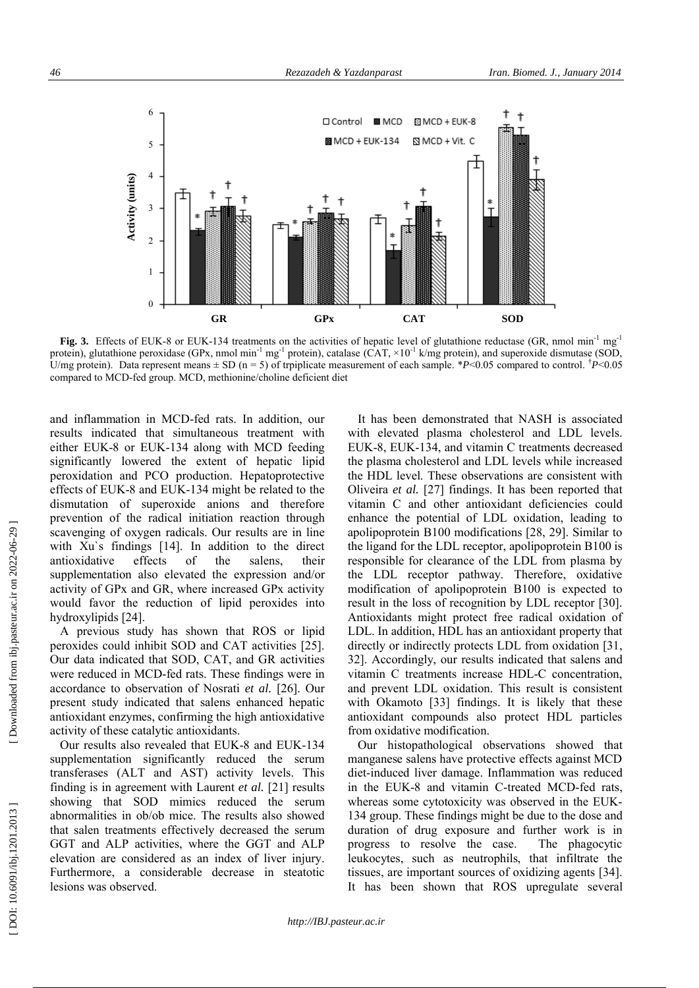

Fig. 3. Effects of EUK-8 or EUK-134 treatments on the activities of hepatic level of glutathione reductase (GR, nmol min<sup>-1</sup> mg<sup>-1</sup> protein), glutathione peroxidase (GPx, nmol min<sup>-1</sup> mg<sup>-1</sup> protein), catalase (CAT,  $\times 10^{-1}$  k/mg protein), and superoxide dismutase (SOD, U/mg protein). Data represent means  $\pm$  SD (n = 5) of trpiplicate measurement of each sample. \**P*<0.05 compared to control. <sup>†</sup>*P*<0.05 compared to MCD-fed group. MCD, methionine/choline deficient diet

and inflammation in MCD-fed rats. In addition, our results indicated that simultaneous treatment with either EUK-8 or EUK-134 along with MCD feeding significantly lowered the extent of hepatic lipid peroxidation and PCO production. Hepatoprotective effects of EUK-8 and EUK-134 might be related to the dismutation of superoxide anions and therefore prevention of the radical initiation reaction through scavenging of oxygen radicals. Our results are in line with Xu's findings [14]. In addition to the direct antioxidative effects of the salens, their supplementation also elevated the expression and/or activity of GPx and GR, where increased GPx activity would favor the reduction of lipid peroxides into hydroxylipids [24].

A previous study has shown that ROS or lipid peroxides could inhibit SOD and CAT activities [25]. Our data indicated that SOD, CAT, and GR activities were reduced in MCD-fed rats. These findings were in accordance to observation of Nosrati *et al.* [26]. Our present study indicated that salens enhanced hepatic antioxidant enzymes, confirming the high antioxidative activity of these catalytic antioxidants.

Our results also revealed that EUK-8 and EUK-134 supplementation significantly reduced the serum transferases (ALT and AST) activity levels. This finding is in agreement with Laurent *et al.* [21] results showing that SOD mimics reduced the serum abnormalities in ob/ob mice. The results also showed that salen treatments effectively decreased the serum GGT and ALP activities, where the GGT and ALP elevation are considered as an index of liver injury. Furthermore, a considerable decrease in steatotic lesions was observed.

It has been demonstrated that NASH is associated with elevated plasma cholesterol and LDL levels. EUK-8, EUK-134, and vitamin C treatments decreased the plasma cholesterol and LDL levels while increased the HDL level. These observations are consistent with Oliveira *et al.* [27] findings. It has been reported that vitamin C and other antioxidant deficiencies could enhance the potential of LDL oxidation, leading to apolipoprotein B100 modifications [28, 29]. Similar to the ligand for the LDL receptor, apolipoprotein B100 is responsible for clearance of the LDL from plasma by the LDL receptor pathway. Therefore, oxidative modification of apolipoprotein B100 is expected to result in the loss of recognition by LDL receptor [30]. Antioxidants might protect free radical oxidation of LDL. In addition, HDL has an antioxidant property that directly or indirectly protects LDL from oxidation [31, 32]. Accordingly, our results indicated that salens and vitamin C treatments increase HDL-C concentration, and prevent LDL oxidation. This result is consistent with Okamoto [33] findings. It is likely that these antioxidant compounds also protect HDL particles from oxidative modification.

Our histopathological observations showed that manganese salens have protective effects against MCD diet-induced liver damage. Inflammation was reduced in the EUK-8 and vitamin C-treated MCD-fed rats, whereas some cytotoxicity was observed in the EUK-134 group. These findings might be due to the dose and duration of drug exposure and further work is in progress to resolve the case. The phagocytic leukocytes, such as neutrophils, that infiltrate the tissues, are important sources of oxidizing agents [34]. It has been shown that ROS upregulate several

DOI: 10.6091/ibj.1201.2013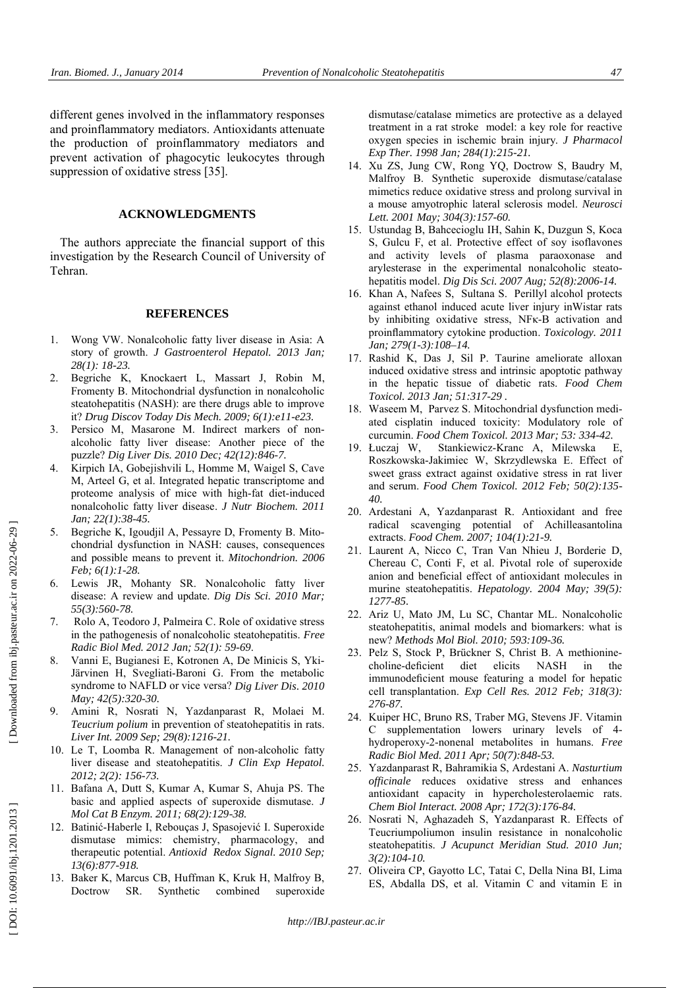different genes involved in the inflammatory responses and proinflammatory mediators. Antioxidants attenuate the production of proinflammatory mediators and prevent activation of phagocytic leukocytes through suppression of oxidative stress [35].

## **ACKNOWLEDGMENTS**

The authors appreciate the financial support of this investigation by the Research Council of University of Tehran.

#### **REFERENCES**

- 1. Wong VW. Nonalcoholic fatty liver disease in Asia: A story of growth. *J Gastroenterol Hepatol. 2013 Jan; 28(1): 18-23.*
- 2. Begriche K, Knockaert L, Massart J, Robin M, Fromenty B. Mitochondrial dysfunction in nonalcoholic steatohepatitis (NASH): are there drugs able to improve it? *Drug Discov Today Dis Mech. 2009; 6(1):e11-e23.*
- 3. Persico M, Masarone M. Indirect markers of nonalcoholic fatty liver disease: Another piece of the puzzle? *Dig Liver Dis. 2010 Dec; 42(12):846-7.*
- 4. Kirpich IA, Gobejishvili L, Homme M, Waigel S, Cave M, Arteel G, et al. Integrated hepatic transcriptome and proteome analysis of mice with high-fat diet-induced nonalcoholic fatty liver disease. *J Nutr Biochem. 2011 Jan; 22(1):38-45.*
- 5. Begriche K, Igoudjil A, Pessayre D, Fromenty B. Mitochondrial dysfunction in NASH: causes, consequences and possible means to prevent it. *Mitochondrion. 2006 Feb; 6(1):1-28.*
- 6. Lewis JR, Mohanty SR. Nonalcoholic fatty liver disease: A review and update. *Dig Dis Sci. 2010 Mar; 55(3):560-78.*
- 7. Rolo A, Teodoro J, Palmeira C. Role of oxidative stress in the pathogenesis of nonalcoholic steatohepatitis. *Free Radic Biol Med. 2012 Jan; 52(1): 59-69* .
- 8. Vanni E, Bugianesi E, Kotronen A, De Minicis S, Yki-Järvinen H, Svegliati-Baroni G. From the metabolic syndrome to NAFLD or vice versa? *Dig Liver Dis. 2010 May; 42(5):320-30.*
- 9. Amini R, Nosrati N, Yazdanparast R, Molaei M. *Teucrium polium* in prevention of steatohepatitis in rats. *Liver Int. 2009 Sep; 29(8):1216-21.*
- 10. Le T, Loomba R. Management of non-alcoholic fatty liver disease and steatohepatitis. *J Clin Exp Hepatol. 2012; 2(2): 156-73.*
- 11. Bafana A, Dutt S, Kumar A, Kumar S, Ahuja PS. The basic and applied aspects of superoxide dismutase. *J Mol Cat B Enzym. 2011; 68(2):129-38.*
- 12. Batinić -Haberle I, Rebouças J, Spasojević I. Superoxide dismutase mimics: chemistry, pharmacology, and therapeutic potential. *Antioxid Redox Signal. 2010 Sep; 13(6):877-918.*
- 13. Baker K, Marcus CB, Huffman K, Kruk H, Malfroy B, Doctrow SR. Synthetic combined superoxide

dismutase/catalase mimetics are protective as a delayed treatment in a rat stroke model: a key role for reactive oxygen species in ischemic brain injury. *J Pharmacol Exp Ther. 1998 Jan; 284(1):215-21.*

- 14. Xu ZS, Jung CW, Rong YQ, Doctrow S, Baudry M, Malfroy B. Synthetic superoxide dismutase/catalase mimetics reduce oxidative stress and prolong survival in a mouse amyotrophic lateral sclerosis model. *Neurosci Lett. 2001 May; 304(3):157-60.*
- 15. Ustundag B, Bahcecioglu IH, Sahin K, Duzgun S, Koca S, Gulcu F, et al. Protective effect of soy isoflavones and activity levels of plasma paraoxonase and arylesterase in the experimental nonalcoholic steatohepatitis model. *Dig Dis Sci. 2007 Aug; 52(8):2006-14.*
- 16. Khan A, Nafees S, Sultana S. Perillyl alcohol protects against ethanol induced acute liver injury inWistar rats by inhibiting oxidative stress, NFκ-B activation and proinflammatory cytokine production. *Toxicology. 2011 Jan; 279(1-3):108–14.*
- 17. Rashid K, Das J, Sil P. Taurine ameliorate alloxan induced oxidative stress and intrinsic apoptotic pathway in the hepatic tissue of diabetic rats. *Food Chem Toxicol. 2013 Jan; 51:317-29 .*
- 18. Waseem M, Parvez S. Mitochondrial dysfunction mediated cisplatin induced toxicity: Modulatory role of curcumin. *Food Chem Toxicol. 2013 Mar; 53: 334-42.*
- 19. Łuczaj W, Stankiewicz-Kranc A, Milewska E, Roszkowska-Jakimiec W, Skrzydlewska E. Effect of sweet grass extract against oxidative stress in rat liver and serum. *Food Chem Toxicol. 2012 Feb; 50(2):135- 40.*
- 20. Ardestani A, Yazdanparast R. Antioxidant and free radical scavenging potential of Achilleasantolina extracts. *Food Chem. 2007; 104(1):21-9.*
- 21. Laurent A, Nicco C, Tran Van Nhieu J, Borderie D, Chereau C, Conti F, et al. Pivotal role of superoxide anion and beneficial effect of antioxidant molecules in murine steatohepatitis. *Hepatology. 2004 May; 39(5): 1277-85.*
- 22. Ariz U, Mato JM, Lu SC, Chantar ML. Nonalcoholic steatohepatitis, animal models and biomarkers: what is new? *Methods Mol Biol. 2010; 593:109-36.*
- 23. Pelz S, Stock P, Brückner S, Christ B. A methioninecholine-deficient diet elicits NASH in the immunodeficient mouse featuring a model for hepatic cell transplantation. *Exp Cell Res. 2012 Feb; 318(3): 276-87.*
- 24. Kuiper HC, Bruno RS, Traber MG, Stevens JF. Vitamin C supplementation lowers urinary levels of 4 hydroperoxy-2-nonenal metabolites in humans. *Free Radic Biol Med. 2011 Apr; 50(7):848-53.*
- 25. Yazdanparast R, Bahramikia S, Ardestani A. *Nasturtium officinale* reduces oxidative stress and enhances antioxidant capacity in hypercholesterolaemic rats. *Chem Biol Interact. 2008 Apr; 172(3):176-84.*
- 26. Nosrati N, Aghazadeh S, Yazdanparast R. Effects of Teucriumpoliumon insulin resistance in nonalcoholic steatohepatitis. *J Acupunct Meridian Stud. 2010 Jun; 3(2):104-10.*
- 27. Oliveira CP, Gayotto LC, Tatai C, Della Nina BI, Lima ES, Abdalla DS, et al. Vitamin C and vitamin E in